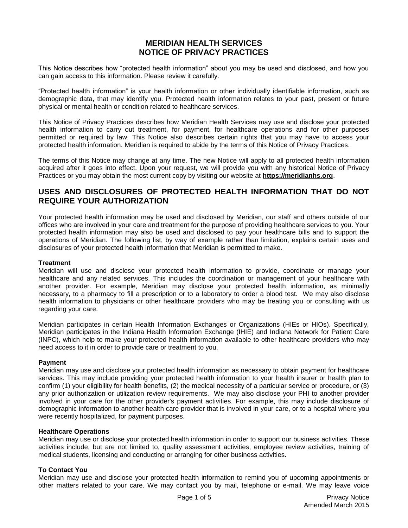# **MERIDIAN HEALTH SERVICES NOTICE OF PRIVACY PRACTICES**

This Notice describes how "protected health information" about you may be used and disclosed, and how you can gain access to this information. Please review it carefully.

"Protected health information" is your health information or other individually identifiable information, such as demographic data, that may identify you. Protected health information relates to your past, present or future physical or mental health or condition related to healthcare services.

This Notice of Privacy Practices describes how Meridian Health Services may use and disclose your protected health information to carry out treatment, for payment, for healthcare operations and for other purposes permitted or required by law. This Notice also describes certain rights that you may have to access your protected health information. Meridian is required to abide by the terms of this Notice of Privacy Practices.

The terms of this Notice may change at any time. The new Notice will apply to all protected health information acquired after it goes into effect. Upon your request, we will provide you with any historical Notice of Privacy Practices or you may obtain the most current copy by visiting our website at **https://meridianhs.org**.

# **USES AND DISCLOSURES OF PROTECTED HEALTH INFORMATION THAT DO NOT REQUIRE YOUR AUTHORIZATION**

Your protected health information may be used and disclosed by Meridian, our staff and others outside of our offices who are involved in your care and treatment for the purpose of providing healthcare services to you. Your protected health information may also be used and disclosed to pay your healthcare bills and to support the operations of Meridian. The following list, by way of example rather than limitation, explains certain uses and disclosures of your protected health information that Meridian is permitted to make.

## **Treatment**

Meridian will use and disclose your protected health information to provide, coordinate or manage your healthcare and any related services. This includes the coordination or management of your healthcare with another provider. For example, Meridian may disclose your protected health information, as minimally necessary, to a pharmacy to fill a prescription or to a laboratory to order a blood test. We may also disclose health information to physicians or other healthcare providers who may be treating you or consulting with us regarding your care.

Meridian participates in certain Health Information Exchanges or Organizations (HIEs or HIOs). Specifically, Meridian participates in the Indiana Health Information Exchange (IHIE) and Indiana Network for Patient Care (INPC), which help to make your protected health information available to other healthcare providers who may need access to it in order to provide care or treatment to you.

## **Payment**

Meridian may use and disclose your protected health information as necessary to obtain payment for healthcare services. This may include providing your protected health information to your health insurer or health plan to confirm (1) your eligibility for health benefits, (2) the medical necessity of a particular service or procedure, or (3) any prior authorization or utilization review requirements. We may also disclose your PHI to another provider involved in your care for the other provider's payment activities. For example, this may include disclosure of demographic information to another health care provider that is involved in your care, or to a hospital where you were recently hospitalized, for payment purposes.

#### **Healthcare Operations**

Meridian may use or disclose your protected health information in order to support our business activities. These activities include, but are not limited to, quality assessment activities, employee review activities, training of medical students, licensing and conducting or arranging for other business activities.

## **To Contact You**

Meridian may use and disclose your protected health information to remind you of upcoming appointments or other matters related to your care. We may contact you by mail, telephone or e-mail. We may leave voice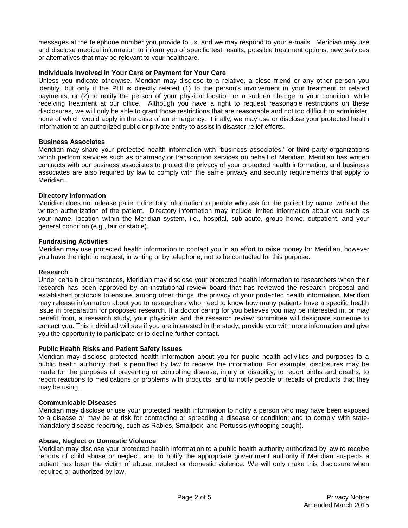messages at the telephone number you provide to us, and we may respond to your e-mails. Meridian may use and disclose medical information to inform you of specific test results, possible treatment options, new services or alternatives that may be relevant to your healthcare.

## **Individuals Involved in Your Care or Payment for Your Care**

Unless you indicate otherwise, Meridian may disclose to a relative, a close friend or any other person you identify, but only if the PHI is directly related (1) to the person's involvement in your treatment or related payments, or (2) to notify the person of your physical location or a sudden change in your condition, while receiving treatment at our office. Although you have a right to request reasonable restrictions on these disclosures, we will only be able to grant those restrictions that are reasonable and not too difficult to administer, none of which would apply in the case of an emergency. Finally, we may use or disclose your protected health information to an authorized public or private entity to assist in disaster-relief efforts.

## **Business Associates**

Meridian may share your protected health information with "business associates," or third-party organizations which perform services such as pharmacy or transcription services on behalf of Meridian. Meridian has written contracts with our business associates to protect the privacy of your protected health information, and business associates are also required by law to comply with the same privacy and security requirements that apply to Meridian.

## **Directory Information**

Meridian does not release patient directory information to people who ask for the patient by name, without the written authorization of the patient. Directory information may include limited information about you such as your name, location within the Meridian system, i.e., hospital, sub-acute, group home, outpatient, and your general condition (e.g., fair or stable).

## **Fundraising Activities**

Meridian may use protected health information to contact you in an effort to raise money for Meridian, however you have the right to request, in writing or by telephone, not to be contacted for this purpose.

## **Research**

Under certain circumstances, Meridian may disclose your protected health information to researchers when their research has been approved by an institutional review board that has reviewed the research proposal and established protocols to ensure, among other things, the privacy of your protected health information. Meridian may release information about you to researchers who need to know how many patients have a specific health issue in preparation for proposed research. If a doctor caring for you believes you may be interested in, or may benefit from, a research study, your physician and the research review committee will designate someone to contact you. This individual will see if you are interested in the study, provide you with more information and give you the opportunity to participate or to decline further contact.

## **Public Health Risks and Patient Safety Issues**

Meridian may disclose protected health information about you for public health activities and purposes to a public health authority that is permitted by law to receive the information. For example, disclosures may be made for the purposes of preventing or controlling disease, injury or disability; to report births and deaths; to report reactions to medications or problems with products; and to notify people of recalls of products that they may be using.

## **Communicable Diseases**

Meridian may disclose or use your protected health information to notify a person who may have been exposed to a disease or may be at risk for contracting or spreading a disease or condition; and to comply with statemandatory disease reporting, such as Rabies, Smallpox, and Pertussis (whooping cough).

## **Abuse, Neglect or Domestic Violence**

Meridian may disclose your protected health information to a public health authority authorized by law to receive reports of child abuse or neglect, and to notify the appropriate government authority if Meridian suspects a patient has been the victim of abuse, neglect or domestic violence. We will only make this disclosure when required or authorized by law.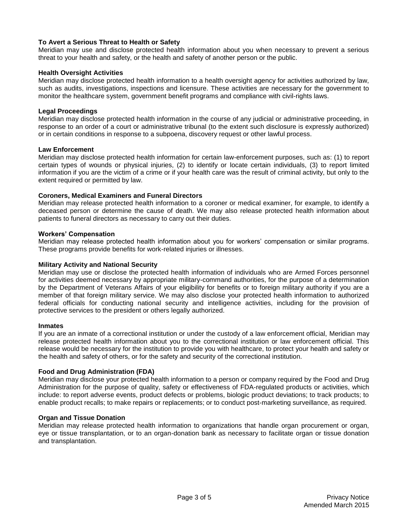## **To Avert a Serious Threat to Health or Safety**

Meridian may use and disclose protected health information about you when necessary to prevent a serious threat to your health and safety, or the health and safety of another person or the public.

## **Health Oversight Activities**

Meridian may disclose protected health information to a health oversight agency for activities authorized by law, such as audits, investigations, inspections and licensure. These activities are necessary for the government to monitor the healthcare system, government benefit programs and compliance with civil-rights laws.

## **Legal Proceedings**

Meridian may disclose protected health information in the course of any judicial or administrative proceeding, in response to an order of a court or administrative tribunal (to the extent such disclosure is expressly authorized) or in certain conditions in response to a subpoena, discovery request or other lawful process.

#### **Law Enforcement**

Meridian may disclose protected health information for certain law-enforcement purposes, such as: (1) to report certain types of wounds or physical injuries, (2) to identify or locate certain individuals, (3) to report limited information if you are the victim of a crime or if your health care was the result of criminal activity, but only to the extent required or permitted by law.

## **Coroners, Medical Examiners and Funeral Directors**

Meridian may release protected health information to a coroner or medical examiner, for example, to identify a deceased person or determine the cause of death. We may also release protected health information about patients to funeral directors as necessary to carry out their duties.

#### **Workers' Compensation**

Meridian may release protected health information about you for workers' compensation or similar programs. These programs provide benefits for work-related injuries or illnesses.

#### **Military Activity and National Security**

Meridian may use or disclose the protected health information of individuals who are Armed Forces personnel for activities deemed necessary by appropriate military-command authorities, for the purpose of a determination by the Department of Veterans Affairs of your eligibility for benefits or to foreign military authority if you are a member of that foreign military service. We may also disclose your protected health information to authorized federal officials for conducting national security and intelligence activities, including for the provision of protective services to the president or others legally authorized.

#### **Inmates**

If you are an inmate of a correctional institution or under the custody of a law enforcement official, Meridian may release protected health information about you to the correctional institution or law enforcement official. This release would be necessary for the institution to provide you with healthcare, to protect your health and safety or the health and safety of others, or for the safety and security of the correctional institution.

## **Food and Drug Administration (FDA)**

Meridian may disclose your protected health information to a person or company required by the Food and Drug Administration for the purpose of quality, safety or effectiveness of FDA-regulated products or activities, which include: to report adverse events, product defects or problems, biologic product deviations; to track products; to enable product recalls; to make repairs or replacements; or to conduct post-marketing surveillance, as required.

## **Organ and Tissue Donation**

Meridian may release protected health information to organizations that handle organ procurement or organ, eye or tissue transplantation, or to an organ-donation bank as necessary to facilitate organ or tissue donation and transplantation.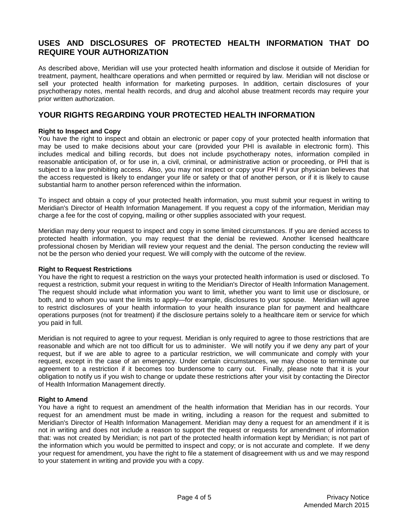# **USES AND DISCLOSURES OF PROTECTED HEALTH INFORMATION THAT DO REQUIRE YOUR AUTHORIZATION**

As described above, Meridian will use your protected health information and disclose it outside of Meridian for treatment, payment, healthcare operations and when permitted or required by law. Meridian will not disclose or sell your protected health information for marketing purposes. In addition, certain disclosures of your psychotherapy notes, mental health records, and drug and alcohol abuse treatment records may require your prior written authorization.

# **YOUR RIGHTS REGARDING YOUR PROTECTED HEALTH INFORMATION**

## **Right to Inspect and Copy**

You have the right to inspect and obtain an electronic or paper copy of your protected health information that may be used to make decisions about your care (provided your PHI is available in electronic form). This includes medical and billing records, but does not include psychotherapy notes, information compiled in reasonable anticipation of, or for use in, a civil, criminal, or administrative action or proceeding, or PHI that is subject to a law prohibiting access. Also, you may not inspect or copy your PHI if your physician believes that the access requested is likely to endanger your life or safety or that of another person, or if it is likely to cause substantial harm to another person referenced within the information.

To inspect and obtain a copy of your protected health information, you must submit your request in writing to Meridian's Director of Health Information Management. If you request a copy of the information, Meridian may charge a fee for the cost of copying, mailing or other supplies associated with your request.

Meridian may deny your request to inspect and copy in some limited circumstances. If you are denied access to protected health information, you may request that the denial be reviewed. Another licensed healthcare professional chosen by Meridian will review your request and the denial. The person conducting the review will not be the person who denied your request. We will comply with the outcome of the review.

## **Right to Request Restrictions**

You have the right to request a restriction on the ways your protected health information is used or disclosed. To request a restriction, submit your request in writing to the Meridian's Director of Health Information Management. The request should include what information you want to limit, whether you want to limit use or disclosure, or both, and to whom you want the limits to apply—for example, disclosures to your spouse. Meridian will agree to restrict disclosures of your health information to your health insurance plan for payment and healthcare operations purposes (not for treatment) if the disclosure pertains solely to a healthcare item or service for which you paid in full.

Meridian is not required to agree to your request. Meridian is only required to agree to those restrictions that are reasonable and which are not too difficult for us to administer. We will notify you if we deny any part of your request, but if we are able to agree to a particular restriction, we will communicate and comply with your request, except in the case of an emergency. Under certain circumstances, we may choose to terminate our agreement to a restriction if it becomes too burdensome to carry out. Finally, please note that it is your obligation to notify us if you wish to change or update these restrictions after your visit by contacting the Director of Health Information Management directly.

## **Right to Amend**

You have a right to request an amendment of the health information that Meridian has in our records. Your request for an amendment must be made in writing, including a reason for the request and submitted to Meridian's Director of Health Information Management. Meridian may deny a request for an amendment if it is not in writing and does not include a reason to support the request or requests for amendment of information that: was not created by Meridian; is not part of the protected health information kept by Meridian; is not part of the information which you would be permitted to inspect and copy; or is not accurate and complete. If we deny your request for amendment, you have the right to file a statement of disagreement with us and we may respond to your statement in writing and provide you with a copy.